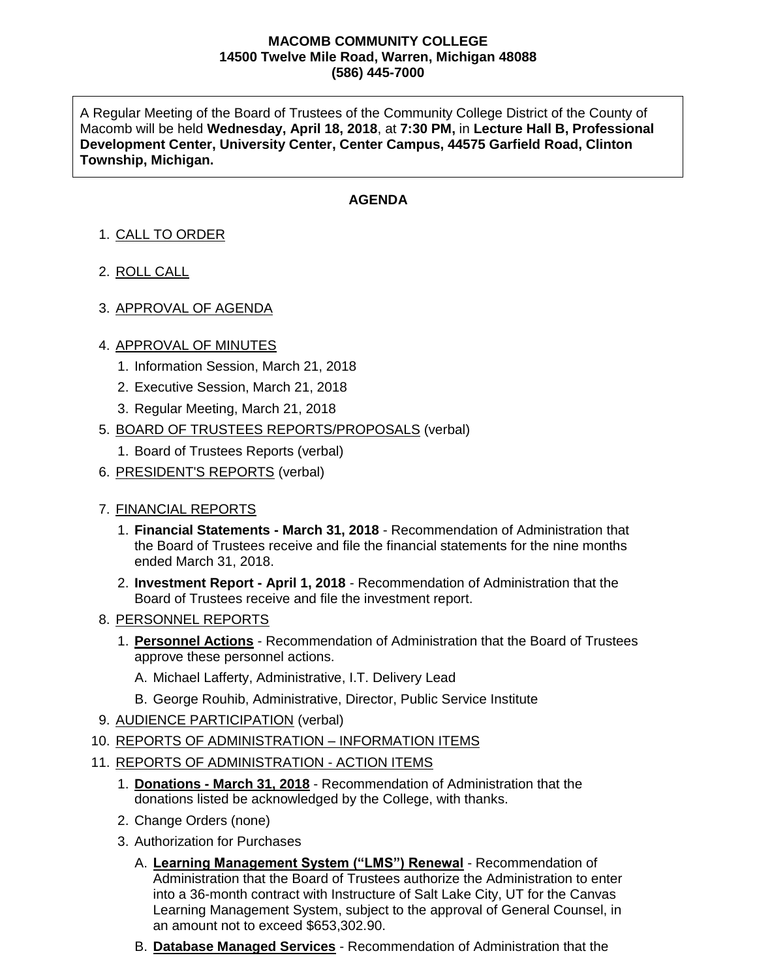## **MACOMB COMMUNITY COLLEGE 14500 Twelve Mile Road, Warren, Michigan 48088 (586) 445-7000**

A Regular Meeting of the Board of Trustees of the Community College District of the County of Macomb will be held **Wednesday, April 18, 2018**, at **7:30 PM,** in **Lecture Hall B, Professional Development Center, University Center, Center Campus, 44575 Garfield Road, Clinton Township, Michigan.**

## **AGENDA**

- 1. CALL TO ORDER
- 2. ROLL CALL
- 3. APPROVAL OF AGENDA

## 4. APPROVAL OF MINUTES

- 1. Information Session, March 21, 2018
- 2. Executive Session, March 21, 2018
- 3. Regular Meeting, March 21, 2018
- 5. BOARD OF TRUSTEES REPORTS/PROPOSALS (verbal)
	- 1. Board of Trustees Reports (verbal)
- 6. PRESIDENT'S REPORTS (verbal)
- 7. FINANCIAL REPORTS
	- 1. **Financial Statements - March 31, 2018** Recommendation of Administration that the Board of Trustees receive and file the financial statements for the nine months ended March 31, 2018.
	- 2. **Investment Report - April 1, 2018** Recommendation of Administration that the Board of Trustees receive and file the investment report.
- 8. PERSONNEL REPORTS
	- 1. **Personnel Actions** Recommendation of Administration that the Board of Trustees approve these personnel actions.
		- A. Michael Lafferty, Administrative, I.T. Delivery Lead
		- B. George Rouhib, Administrative, Director, Public Service Institute
- 9. AUDIENCE PARTICIPATION (verbal)
- 10. REPORTS OF ADMINISTRATION INFORMATION ITEMS
- 11. REPORTS OF ADMINISTRATION ACTION ITEMS
	- 1. **Donations - March 31, 2018** Recommendation of Administration that the donations listed be acknowledged by the College, with thanks.
	- 2. Change Orders (none)
	- 3. Authorization for Purchases
		- A. **Learning Management System ("LMS") Renewal** Recommendation of Administration that the Board of Trustees authorize the Administration to enter into a 36-month contract with Instructure of Salt Lake City, UT for the Canvas Learning Management System, subject to the approval of General Counsel, in an amount not to exceed \$653,302.90.
		- B. **Database Managed Services** Recommendation of Administration that the